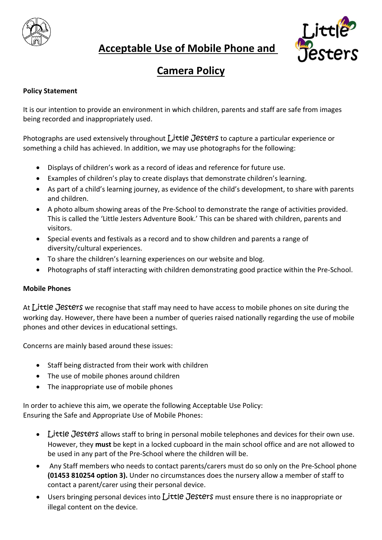

## **Acceptable Use of Mobile Phone and**



# **Camera Policy**

### **Policy Statement**

It is our intention to provide an environment in which children, parents and staff are safe from images being recorded and inappropriately used.

Photographs are used extensively throughout  $L$  ittle Jesters to capture a particular experience or something a child has achieved. In addition, we may use photographs for the following:

- Displays of children's work as a record of ideas and reference for future use.
- Examples of children's play to create displays that demonstrate children's learning.
- As part of a child's learning journey, as evidence of the child's development, to share with parents and children.
- A photo album showing areas of the Pre-School to demonstrate the range of activities provided. This is called the 'Little Jesters Adventure Book.' This can be shared with children, parents and visitors.
- Special events and festivals as a record and to show children and parents a range of diversity/cultural experiences.
- To share the children's learning experiences on our website and blog.
- Photographs of staff interacting with children demonstrating good practice within the Pre-School.

#### **Mobile Phones**

At Little Jesters we recognise that staff may need to have access to mobile phones on site during the working day. However, there have been a number of queries raised nationally regarding the use of mobile phones and other devices in educational settings.

Concerns are mainly based around these issues:

- Staff being distracted from their work with children
- The use of mobile phones around children
- The inappropriate use of mobile phones

In order to achieve this aim, we operate the following Acceptable Use Policy: Ensuring the Safe and Appropriate Use of Mobile Phones:

- Little Jesters allows staff to bring in personal mobile telephones and devices for their own use. However, they **must** be kept in a locked cupboard in the main school office and are not allowed to be used in any part of the Pre-School where the children will be.
- Any Staff members who needs to contact parents/carers must do so only on the Pre-School phone **(01453 810254 option 3).** Under no circumstances does the nursery allow a member of staff to contact a parent/carer using their personal device.
- **Users bringing personal devices into Little Jesters must ensure there is no inappropriate or** illegal content on the device.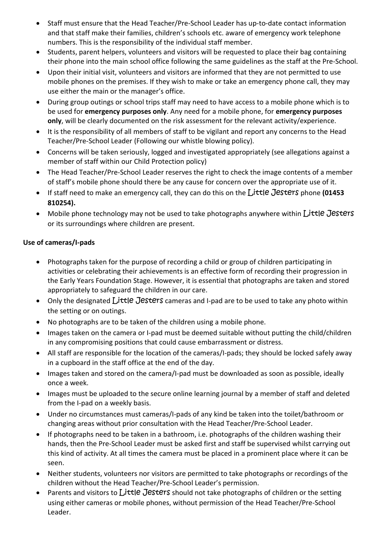- Staff must ensure that the Head Teacher/Pre-School Leader has up-to-date contact information and that staff make their families, children's schools etc. aware of emergency work telephone numbers. This is the responsibility of the individual staff member.
- Students, parent helpers, volunteers and visitors will be requested to place their bag containing their phone into the main school office following the same guidelines as the staff at the Pre-School.
- Upon their initial visit, volunteers and visitors are informed that they are not permitted to use mobile phones on the premises. If they wish to make or take an emergency phone call, they may use either the main or the manager's office.
- During group outings or school trips staff may need to have access to a mobile phone which is to be used for **emergency purposes only**. Any need for a mobile phone, for **emergency purposes only**, will be clearly documented on the risk assessment for the relevant activity/experience.
- It is the responsibility of all members of staff to be vigilant and report any concerns to the Head Teacher/Pre-School Leader (Following our whistle blowing policy).
- Concerns will be taken seriously, logged and investigated appropriately (see allegations against a member of staff within our Child Protection policy)
- The Head Teacher/Pre-School Leader reserves the right to check the image contents of a member of staff's mobile phone should there be any cause for concern over the appropriate use of it.
- If staff need to make an emergency call, they can do this on the Little Jesters phone **(01453 810254).**
- Mobile phone technology may not be used to take photographs anywhere within Little Jesters or its surroundings where children are present.

### **Use of cameras/I-pads**

- Photographs taken for the purpose of recording a child or group of children participating in activities or celebrating their achievements is an effective form of recording their progression in the Early Years Foundation Stage. However, it is essential that photographs are taken and stored appropriately to safeguard the children in our care.
- Only the designated Little Jesters cameras and I-pad are to be used to take any photo within the setting or on outings.
- No photographs are to be taken of the children using a mobile phone.
- Images taken on the camera or I-pad must be deemed suitable without putting the child/children in any compromising positions that could cause embarrassment or distress.
- All staff are responsible for the location of the cameras/I-pads; they should be locked safely away in a cupboard in the staff office at the end of the day.
- Images taken and stored on the camera/I-pad must be downloaded as soon as possible, ideally once a week.
- Images must be uploaded to the secure online learning journal by a member of staff and deleted from the I-pad on a weekly basis.
- Under no circumstances must cameras/I-pads of any kind be taken into the toilet/bathroom or changing areas without prior consultation with the Head Teacher/Pre-School Leader.
- If photographs need to be taken in a bathroom, i.e. photographs of the children washing their hands, then the Pre-School Leader must be asked first and staff be supervised whilst carrying out this kind of activity. At all times the camera must be placed in a prominent place where it can be seen.
- Neither students, volunteers nor visitors are permitted to take photographs or recordings of the children without the Head Teacher/Pre-School Leader's permission.
- Parents and visitors to  $L$ ittle Jesters should not take photographs of children or the setting using either cameras or mobile phones, without permission of the Head Teacher/Pre-School Leader.